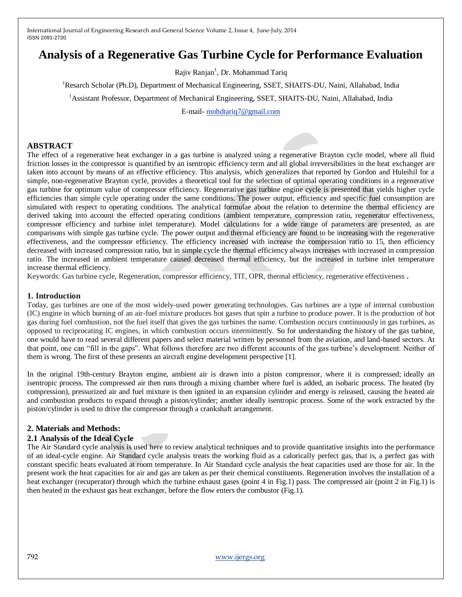# **Analysis of a Regenerative Gas Turbine Cycle for Performance Evaluation**

Rajiv Ranjan<sup>1</sup>, Dr. Mohammad Tariq

<sup>1</sup>Resarch Scholar (Ph.D), Department of Mechanical Engineering, SSET, SHAITS-DU, Naini, Allahabad, India

<sup>1</sup>Assistant Professor, Department of Mechanical Engineering, SSET, SHAITS-DU, Naini, Allahabad, India

E-mail- [mohdtariq7@gmail.com](mailto:mohdtariq7@gmail.com) 

#### **ABSTRACT**

The effect of a regenerative heat exchanger in a gas turbine is analyzed using a regenerative Brayton cycle model, where all fluid friction losses in the compressor is quantified by an isentropic efficiency term and all global irreversibilities in the heat exchanger are taken into account by means of an effective efficiency. This analysis, which generalizes that reported by Gordon and Huleihil for a simple, non-regenerative Brayton cycle, provides a theoretical tool for the selection of optimal operating conditions in a regenerative gas turbine for optimum value of compressor efficiency. Regenerative gas turbine engine cycle is presented that yields higher cycle efficiencies than simple cycle operating under the same conditions. The power output, efficiency and specific fuel consumption are simulated with respect to operating conditions. The analytical formulae about the relation to determine the thermal efficiency are derived taking into account the effected operating conditions (ambient temperature, compression ratio, regenerator effectiveness, compressor efficiency and turbine inlet temperature). Model calculations for a wide range of parameters are presented, as are comparisons with simple gas turbine cycle. The power output and thermal efficiency are found to be increasing with the regenerative effectiveness, and the compressor efficiency. The efficiency increased with increase the compression ratio to 15, then efficiency decreased with increased compression ratio, but in simple cycle the thermal efficiency always increases with increased in compression ratio. The increased in ambient temperature caused decreased thermal efficiency, but the increased in turbine inlet temperature increase thermal efficiency.

Keywords: Gas turbine cycle, Regeneration, compressor efficiency, TIT, OPR, thermal efficiency, regenerative effectiveness **.**

#### **1. Introduction**

Today, gas turbines are one of the most widely-used power generating technologies. Gas turbines are a type of internal combustion (IC) engine in which burning of an air-fuel mixture produces hot gases that spin a turbine to produce power. It is the production of hot gas during fuel combustion, not the fuel itself that gives the gas turbines the name. Combustion occurs continuously in gas turbines, as opposed to reciprocating IC engines, in which combustion occurs intermittently. So for understanding the history of the gas turbine, one would have to read several different papers and select material written by personnel from the aviation, and land-based sectors. At that point, one can "fill in the gaps". What follows therefore are two different accounts of the gas turbine's development. Neither of them is wrong. The first of these presents an aircraft engine development perspective [1].

In the original 19th-century Brayton engine, ambient air is drawn into a piston compressor, where it is compressed; ideally an isentropic process. The compressed air then runs through a mixing chamber where fuel is added, an isobaric process. The heated (by compression), pressurized air and fuel mixture is then ignited in an expansion cylinder and energy is released, causing the heated air and combustion products to expand through a piston/cylinder; another ideally isentropic process. Some of the work extracted by the piston/cylinder is used to drive the compressor through a crankshaft arrangement.

### **2. Materials and Methods:**

#### **2.1 Analysis of the Ideal Cycle**

The Air Standard cycle analysis is used here to review analytical techniques and to provide quantitative insights into the performance of an ideal-cycle engine. Air Standard cycle analysis treats the working fluid as a calorically perfect gas, that is, a perfect gas with constant specific heats evaluated at room temperature. In Air Standard cycle analysis the heat capacities used are those for air. In the present work the heat capacities for air and gas are taken as per their chemical constituents. Regeneration involves the installation of a heat exchanger (recuperator) through which the turbine exhaust gases (point 4 in Fig.1) pass. The compressed air (point 2 in Fig.1) is then heated in the exhaust gas heat exchanger, before the flow enters the combustor (Fig.1).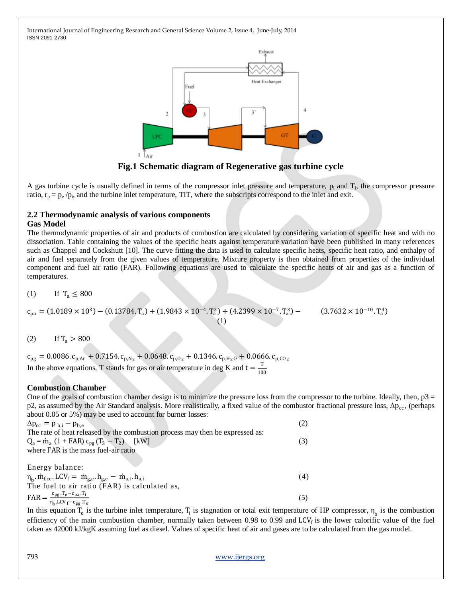

**Fig.1 Schematic diagram of Regenerative gas turbine cycle**

A gas turbine cycle is usually defined in terms of the compressor inlet pressure and temperature,  $p_i$  and  $T_i$ , the compressor pressure ratio,  $r_p = p_e / p_i$ , and the turbine inlet temperature, TIT, where the subscripts correspond to the inlet and exit.

#### **2.2 Thermodynamic analysis of various components Gas Model**

The thermodynamic properties of air and products of combustion are calculated by considering variation of specific heat and with no dissociation. Table containing the values of the specific heats against temperature variation have been published in many references such as Chappel and Cockshutt [10]. The curve fitting the data is used to calculate specific heats, specific heat ratio, and enthalpy of air and fuel separately from the given values of temperature. Mixture property is then obtained from properties of the individual component and fuel air ratio (FAR). Following equations are used to calculate the specific heats of air and gas as a function of temperatures.

(1) If  $T_a \le 800$ 

$$
c_{pa} = (1.0189 \times 10^3) - (0.13784 \cdot T_a) + (1.9843 \times 10^{-4} \cdot T_a^2) + (4.2399 \times 10^{-7} \cdot T_a^3) - (3.7632 \times 10^{-10} \cdot T_a^4)
$$
\n(1)

$$
(2) \qquad \text{If } T_a > 800
$$

 $c_{pg} = 0.0086$ .  $c_{p,Ar} + 0.7154$ .  $c_{p,N_2} + 0.0648$ .  $c_{p,0_2} + 0.1346$ .  $c_{p,H_2O} + 0.0666$ .  $c_{p,CO_2}$ In the above equations, T stands for gas or air temperature in deg K and  $t = \frac{T}{40}$ 100

# **Combustion Chamber**

One of the goals of combustion chamber design is to minimize the pressure loss from the compressor to the turbine. Ideally, then,  $p3 =$ p2, as assumed by the Air Standard analysis. More realistically, a fixed value of the combustor fractional pressure loss,  $\Delta p_{cc}$ , (perhaps about 0.05 or 5%) may be used to account for burner losses:

| $\Delta p_{\rm cc} = p_{\rm b,i} - p_{\rm b,e}$                                                                  | (2) |
|------------------------------------------------------------------------------------------------------------------|-----|
| The rate of heat released by the combustion process may then be expressed as:                                    |     |
| $Q_a = \dot{m}_a (1 + FAR) c_{pg} (T_3 - T_2)$ [kW]                                                              | (3) |
| where FAR is the mass fuel-air ratio                                                                             |     |
|                                                                                                                  |     |
| Energy balance:                                                                                                  |     |
| $\eta_{\rm b}$ . $\dot{m}_{f,cc}$ . LCV <sub>f</sub> = $\dot{m}_{g,e}$ . $h_{g,e}$ - $\dot{m}_{a,i}$ . $h_{a,i}$ | (4) |
| The fuel to air ratio (FAR) is calculated as,                                                                    |     |
| $\text{FAR} = \frac{c_{pg} \cdot T_e - c_{pa} \cdot T_i}{\eta_b \cdot \text{LCV}_f - c_{pg} \cdot T_e}$          | (5) |
|                                                                                                                  |     |

In this equation  $T_e$  is the turbine inlet temperature,  $T_i$  is stagnation or total exit temperature of HP compressor,  $\eta_b$  is the combustion efficiency of the main combustion chamber, normally taken between  $0.98$  to  $0.99$  and LCV<sub>f</sub> is the lower calorific value of the fuel taken as 42000 kJ/kgK assuming fuel as diesel. Values of specific heat of air and gases are to be calculated from the gas model.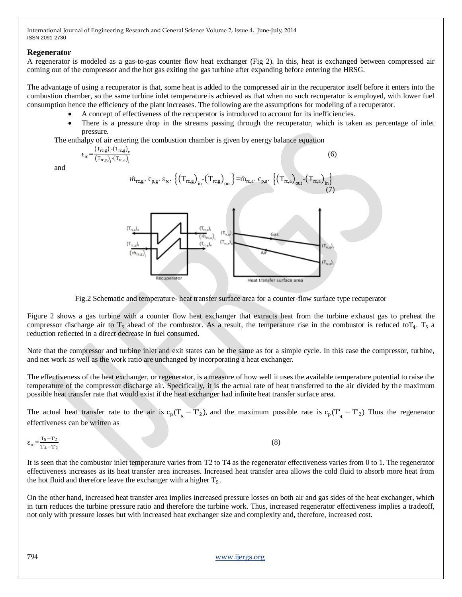## **Regenerator**

A regenerator is modeled as a gas-to-gas counter flow heat exchanger (Fig 2). In this, heat is exchanged between compressed air coming out of the compressor and the hot gas exiting the gas turbine after expanding before entering the HRSG.

The advantage of using a recuperator is that, some heat is added to the compressed air in the recuperator itself before it enters into the combustion chamber, so the same turbine inlet temperature is achieved as that when no such recuperator is employed, with lower fuel consumption hence the efficiency of the plant increases. The following are the assumptions for modeling of a recuperator.

- A concept of effectiveness of the recuperator is introduced to account for its inefficiencies.
- There is a pressure drop in the streams passing through the recuperator, which is taken as percentage of inlet pressure.

(6)

The enthalpy of air entering the combustion chamber is given by energy balance equation

$$
\epsilon_{\rm rc} = \frac{(\rm T_{rc,g})_{i}^{-} (\rm T_{rc,g})_{e}}{(\rm T_{rc,g})_{i}^{-} (\rm T_{rc,a})_{i}}
$$

and



Fig.2 Schematic and temperature- heat transfer surface area for a counter-flow surface type recuperator

Figure 2 shows a gas turbine with a counter flow heat exchanger that extracts heat from the turbine exhaust gas to preheat the compressor discharge air to  $T_5$  ahead of the combustor. As a result, the temperature rise in the combustor is reduced to  $T_4$ .  $T_5$  a reduction reflected in a direct decrease in fuel consumed.

Note that the compressor and turbine inlet and exit states can be the same as for a simple cycle. In this case the compressor, turbine, and net work as well as the work ratio are unchanged by incorporating a heat exchanger.

The effectiveness of the heat exchanger, or regenerator, is a measure of how well it uses the available temperature potential to raise the temperature of the compressor discharge air. Specifically, it is the actual rate of heat transferred to the air divided by the maximum possible heat transfer rate that would exist if the heat exchanger had infinite heat transfer surface area.

The actual heat transfer rate to the air is  $c_p(T_5 - T_2)$ , and the maximum possible rate is  $c_p(T_4 - T_2)$  Thus the regenerator effectiveness can be written as

 $\epsilon_{\text{rc}} = \frac{T_5 - T_2}{T_1 - T_2}$  $T'_4-T'_2$ 

(8)

It is seen that the combustor inlet temperature varies from T2 to T4 as the regenerator effectiveness varies from 0 to 1. The regenerator effectiveness increases as its heat transfer area increases. Increased heat transfer area allows the cold fluid to absorb more heat from the hot fluid and therefore leave the exchanger with a higher  $T_5$ .

On the other hand, increased heat transfer area implies increased pressure losses on both air and gas sides of the heat exchanger, which in turn reduces the turbine pressure ratio and therefore the turbine work. Thus, increased regenerator effectiveness implies a tradeoff, not only with pressure losses but with increased heat exchanger size and complexity and, therefore, increased cost.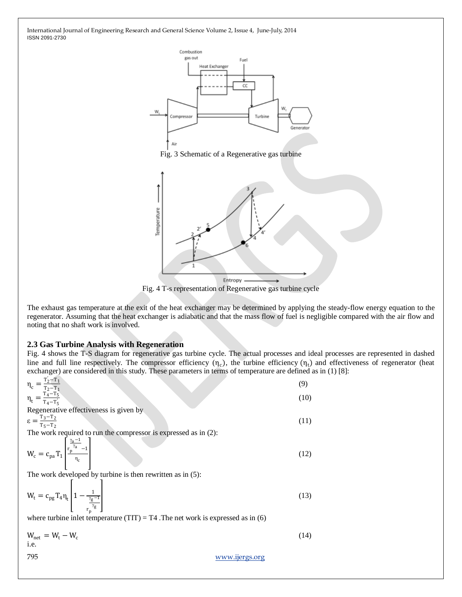

Fig. 3 Schematic of a Regenerative gas turbine



Fig. 4 T-s representation of Regenerative gas turbine cycle

The exhaust gas temperature at the exit of the heat exchanger may be determined by applying the steady-flow energy equation to the regenerator. Assuming that the heat exchanger is adiabatic and that the mass flow of fuel is negligible compared with the air flow and noting that no shaft work is involved.

#### **2.3 Gas Turbine Analysis with Regeneration**

Fig. 4 shows the T-S diagram for regenerative gas turbine cycle. The actual processes and ideal processes are represented in dashed line and full line respectively. The compressor efficiency  $(\eta_c)$ , the turbine efficiency  $(\eta_t)$  and effectiveness of regenerator (heat exchanger) are considered in this study. These parameters in terms of temperature are defined as in (1) [8]:

$$
\eta_{c} = \frac{T_{2} - T_{1}}{T_{2} - T_{1}}
$$
\n
$$
\eta_{t} = \frac{T_{4} - T_{5}}{T_{4} - T_{5}}
$$
\n
$$
\varepsilon = \frac{T_{3} - T_{2}}{T_{5} - T_{2}}
$$
\n
$$
\varepsilon = \frac{T_{3} - T_{2}}{T_{5} - T_{2}}
$$
\n
$$
W_{c} = c_{pa} T_{1} \left[ \frac{r_{a} - 1}{r_{b}} \right]
$$
\nThe work developed by turbine is then rewritten as in (5):\n
$$
W_{t} = c_{pg} T_{4} \eta_{t} \left[ 1 - \frac{1}{\frac{r_{g} - 1}{r_{b}} \right]
$$
\nwhere turbine inlet temperature (TIT) = T4. The net work is expressed as in (6)\n
$$
W_{net} = W_{t} - W_{c}
$$
\n(14)

$$
W_{\text{net}} = W_{\text{t}} - W_{\text{c}} \tag{14}
$$
 i.e.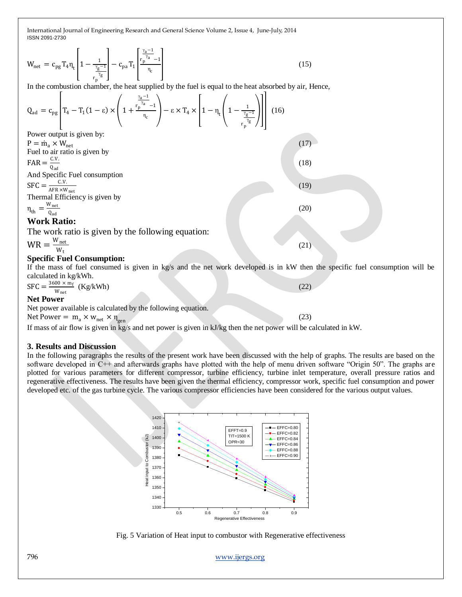$$
W_{\text{net}} = c_{\text{pg}} T_4 \eta_t \left[ 1 - \frac{1}{\frac{\gamma_g - 1}{r_p}} \right] - c_{\text{pa}} T_1 \left[ \frac{\frac{\gamma_a - 1}{r_p^{\gamma_a} - 1}}{\eta_c} \right] \tag{15}
$$

In the combustion chamber, the heat supplied by the fuel is equal to the heat absorbed by air, Hence,

$$
Q_{ad} = c_{pg} \left[ T_4 - T_1 (1 - \epsilon) \times \left( 1 + \frac{r_p^{\frac{\gamma_a - 1}{\gamma_a}} - 1}{\eta_c} \right) - \epsilon \times T_4 \times \left[ 1 - \eta_t \left( 1 - \frac{1}{\frac{\gamma_g - 1}{\gamma_g}} \right) \right] \right] (16)
$$

Power output is given by:  $P = \dot{m}_a \times W_{net}$  (17) Fuel to air ratio is given by  $FAR =$ C.V. Qad And Specific Fuel consumption  $SFC = \frac{C.V.}{AFR \times W_{net}}$ C.V. Thermal Efficiency is given by  $\eta_{\text{th}} = \frac{W_{\text{net}}}{Q_{\text{rad}}}$ 

#### Qad **Work Ratio:**

The work ratio is given by the following equation:

 $WR =$ Wnet  $W_t$ 

# **Specific Fuel Consumption:**

If the mass of fuel consumed is given in kg/s and the net work developed is in kW then the specific fuel consumption will be calculated in kg/kWh.

(18)

(19)

(20)

(21)

(23)

 $SFC = \frac{3600 \times m_f}{W}$  (Kg/kWh) (22) W<sub>net</sub>

## **Net Power**

Net power available is calculated by the following equation.

Net Power =  $m_a \times w_{net} \times \eta_{gen}$ 

If mass of air flow is given in kg/s and net power is given in kJ/kg then the net power will be calculated in kW.

### **3. Results and Discussion**

In the following paragraphs the results of the present work have been discussed with the help of graphs. The results are based on the software developed in C++ and afterwards graphs have plotted with the help of menu driven software "Origin 50". The graphs are plotted for various parameters for different compressor, turbine efficiency, turbine inlet temperature, overall pressure ratios and regenerative effectiveness. The results have been given the thermal efficiency, compressor work, specific fuel consumption and power developed etc. of the gas turbine cycle. The various compressor efficiencies have been considered for the various output values.



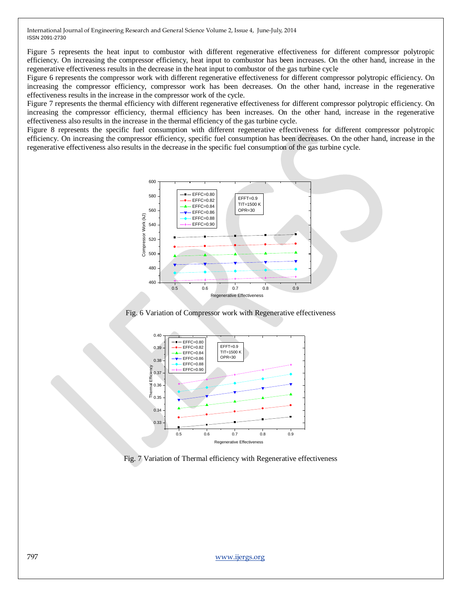Figure 5 represents the heat input to combustor with different regenerative effectiveness for different compressor polytropic efficiency. On increasing the compressor efficiency, heat input to combustor has been increases. On the other hand, increase in the regenerative effectiveness results in the decrease in the heat input to combustor of the gas turbine cycle

Figure 6 represents the compressor work with different regenerative effectiveness for different compressor polytropic efficiency. On increasing the compressor efficiency, compressor work has been decreases. On the other hand, increase in the regenerative effectiveness results in the increase in the compressor work of the cycle.

Figure 7 represents the thermal efficiency with different regenerative effectiveness for different compressor polytropic efficiency. On increasing the compressor efficiency, thermal efficiency has been increases. On the other hand, increase in the regenerative effectiveness also results in the increase in the thermal efficiency of the gas turbine cycle.

Figure 8 represents the specific fuel consumption with different regenerative effectiveness for different compressor polytropic efficiency. On increasing the compressor efficiency, specific fuel consumption has been decreases. On the other hand, increase in the regenerative effectiveness also results in the decrease in the specific fuel consumption of the gas turbine cycle.



Fig. 6 Variation of Compressor work with Regenerative effectiveness



Fig. 7 Variation of Thermal efficiency with Regenerative effectiveness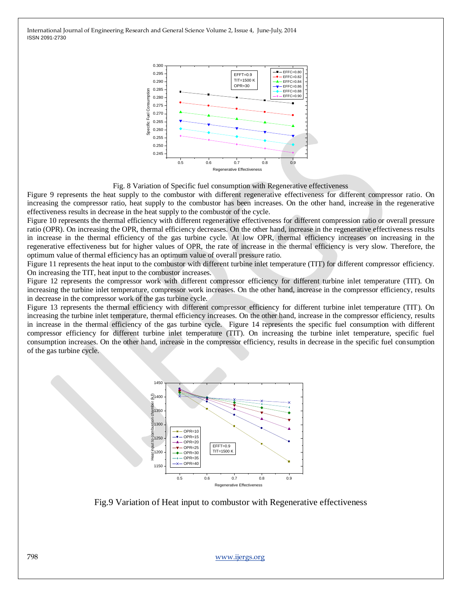

Fig. 8 Variation of Specific fuel consumption with Regenerative effectiveness

Figure 9 represents the heat supply to the combustor with different regenerative effectiveness for different compressor ratio. On increasing the compressor ratio, heat supply to the combustor has been increases. On the other hand, increase in the regenerative effectiveness results in decrease in the heat supply to the combustor of the cycle.

Figure 10 represents the thermal efficiency with different regenerative effectiveness for different compression ratio or overall pressure ratio (OPR). On increasing the OPR, thermal efficiency decreases. On the other hand, increase in the regenerative effectiveness results in increase in the thermal efficiency of the gas turbine cycle. At low OPR, thermal efficiency increases on increasing in the regenerative effectiveness but for higher values of OPR, the rate of increase in the thermal efficiency is very slow. Therefore, the optimum value of thermal efficiency has an optimum value of overall pressure ratio.

Figure 11 represents the heat input to the combustor with different turbine inlet temperature (TIT) for different compressor efficiency. On increasing the TIT, heat input to the combustor increases.

Figure 12 represents the compressor work with different compressor efficiency for different turbine inlet temperature (TIT). On increasing the turbine inlet temperature, compressor work increases. On the other hand, increase in the compressor efficiency, results in decrease in the compressor work of the gas turbine cycle.

Figure 13 represents the thermal efficiency with different compressor efficiency for different turbine inlet temperature (TIT). On increasing the turbine inlet temperature, thermal efficiency increases. On the other hand, increase in the compressor efficiency, results in increase in the thermal efficiency of the gas turbine cycle. Figure 14 represents the specific fuel consumption with different compressor efficiency for different turbine inlet temperature (TIT). On increasing the turbine inlet temperature, specific fuel consumption increases. On the other hand, increase in the compressor efficiency, results in decrease in the specific fuel consumption of the gas turbine cycle.



Fig.9 Variation of Heat input to combustor with Regenerative effectiveness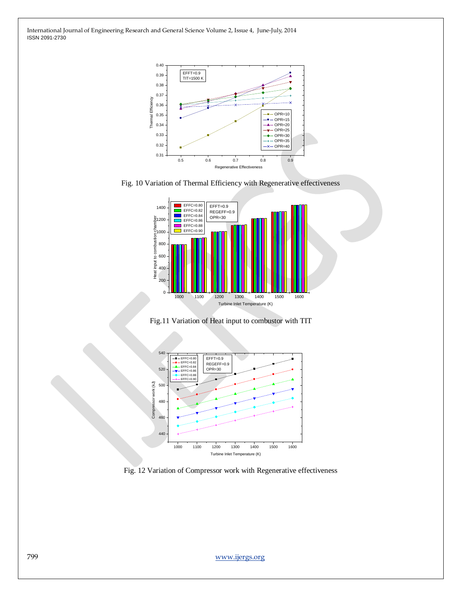

Fig. 10 Variation of Thermal Efficiency with Regenerative effectiveness



Fig.11 Variation of Heat input to combustor with TIT



Fig. 12 Variation of Compressor work with Regenerative effectiveness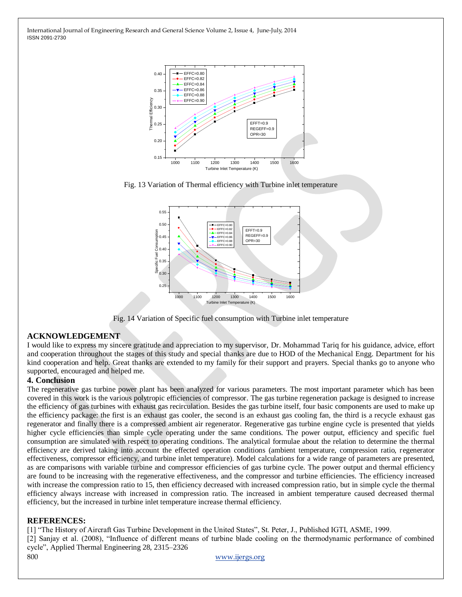

Fig. 13 Variation of Thermal efficiency with Turbine inlet temperature



Fig. 14 Variation of Specific fuel consumption with Turbine inlet temperature

### **ACKNOWLEDGEMENT**

I would like to express my sincere gratitude and appreciation to my supervisor, Dr. Mohammad Tariq for his guidance, advice, effort and cooperation throughout the stages of this study and special thanks are due to HOD of the Mechanical Engg. Department for his kind cooperation and help. Great thanks are extended to my family for their support and prayers. Special thanks go to anyone who supported, encouraged and helped me.

### **4. Conclusion**

The regenerative gas turbine power plant has been analyzed for various parameters. The most important parameter which has been covered in this work is the various polytropic efficiencies of compressor. The gas turbine regeneration package is designed to increase the efficiency of gas turbines with exhaust gas recirculation. Besides the gas turbine itself, four basic components are used to make up the efficiency package: the first is an exhaust gas cooler, the second is an exhaust gas cooling fan, the third is a recycle exhaust gas regenerator and finally there is a compressed ambient air regenerator. Regenerative gas turbine engine cycle is presented that yields higher cycle efficiencies than simple cycle operating under the same conditions. The power output, efficiency and specific fuel consumption are simulated with respect to operating conditions. The analytical formulae about the relation to determine the thermal efficiency are derived taking into account the effected operation conditions (ambient temperature, compression ratio, regenerator effectiveness, compressor efficiency, and turbine inlet temperature). Model calculations for a wide range of parameters are presented, as are comparisons with variable turbine and compressor efficiencies of gas turbine cycle. The power output and thermal efficiency are found to be increasing with the regenerative effectiveness, and the compressor and turbine efficiencies. The efficiency increased with increase the compression ratio to 15, then efficiency decreased with increased compression ratio, but in simple cycle the thermal efficiency always increase with increased in compression ratio. The increased in ambient temperature caused decreased thermal efficiency, but the increased in turbine inlet temperature increase thermal efficiency.

### **REFERENCES:**

[1] "The History of Aircraft Gas Turbine Development in the United States", St. Peter, J., Published IGTI, ASME, 1999. [2] Sanjay et al. (2008), "Influence of different means of turbine blade cooling on the thermodynamic performance of combined cycle", Applied Thermal Engineering 28, 2315–2326